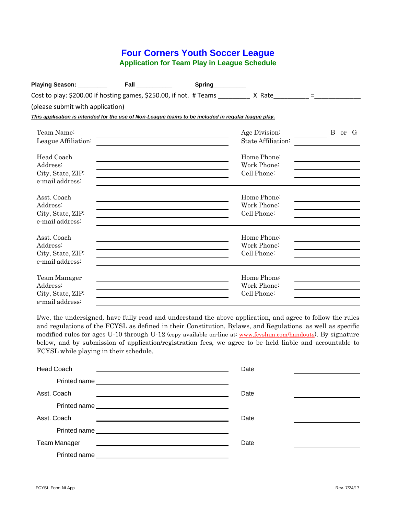## **Four Corners Youth Soccer League Application for Team Play in League Schedule**

| Playing Season: __________   Fall ___________                                                       |                                                                                                                                                                                                                               | Spring__________ |                                                                                                       |                                                                            |        |
|-----------------------------------------------------------------------------------------------------|-------------------------------------------------------------------------------------------------------------------------------------------------------------------------------------------------------------------------------|------------------|-------------------------------------------------------------------------------------------------------|----------------------------------------------------------------------------|--------|
|                                                                                                     |                                                                                                                                                                                                                               |                  | Cost to play: \$200.00 if hosting games, \$250.00, if not. # Teams __________ X Rate__________=_____= |                                                                            |        |
| (please submit with application)                                                                    |                                                                                                                                                                                                                               |                  |                                                                                                       |                                                                            |        |
| This application is intended for the use of Non-League teams to be included in regular league play. |                                                                                                                                                                                                                               |                  |                                                                                                       |                                                                            |        |
| Team Name:                                                                                          |                                                                                                                                                                                                                               |                  | Age Division:                                                                                         |                                                                            | B or G |
| League Affiliation:                                                                                 |                                                                                                                                                                                                                               |                  | State Affiliation:                                                                                    |                                                                            |        |
| Head Coach<br>Address:<br>City, State, ZIP:<br>e-mail address:                                      | the control of the control of the control of the control of the control of the control of the control of the control of the control of the control of the control of the control of the control of the control of the control |                  | Home Phone:<br>Work Phone:<br>Cell Phone:                                                             | the control of the control of the control of the control of the control of |        |
| Asst. Coach<br>Address:<br>City, State, ZIP:<br>e-mail address:                                     |                                                                                                                                                                                                                               |                  | Home Phone:<br>Work Phone:<br>Cell Phone:                                                             |                                                                            |        |
| Asst. Coach<br>Address:<br>City, State, ZIP:<br>e-mail address:                                     |                                                                                                                                                                                                                               |                  | Home Phone:<br>Work Phone:<br>Cell Phone:                                                             |                                                                            |        |
| Team Manager<br>Address:<br>City, State, ZIP:<br>e-mail address:                                    |                                                                                                                                                                                                                               |                  | Home Phone:<br>Work Phone:<br>Cell Phone:                                                             |                                                                            |        |

I/we, the undersigned, have fully read and understand the above application, and agree to follow the rules and regulations of the FCYSL as defined in their Constitution, Bylaws, and Regulations as well as specific modified rules for ages U-10 through U-12 (copy available on-line at: [www.fcyslnm.com/handouts\)](http://www.fcyslnm.com/handouts)). By signature below, and by submission of application/registration fees, we agree to be held liable and accountable to FCYSL while playing in their schedule.

| <b>Head Coach</b>   |                                                         | Date |  |
|---------------------|---------------------------------------------------------|------|--|
|                     | Printed name                                            |      |  |
| Asst. Coach         | <u> 1980 - Johann Barbara, martin amerikan basal da</u> | Date |  |
|                     | Printed name                                            |      |  |
| Asst. Coach         |                                                         | Date |  |
|                     | Printed name                                            |      |  |
| <b>Team Manager</b> |                                                         | Date |  |
| Printed name        |                                                         |      |  |